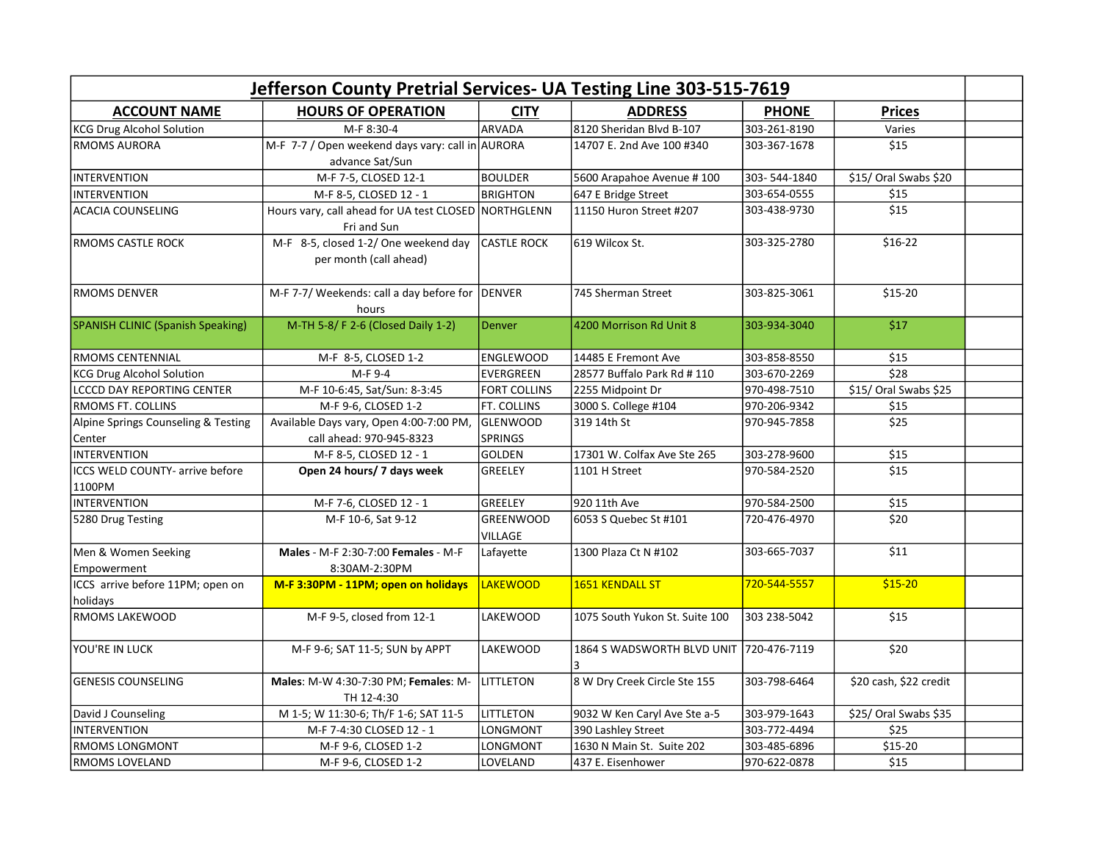| Jefferson County Pretrial Services- UA Testing Line 303-515-7619 |                                                                     |                                   |                                         |              |                        |  |  |  |
|------------------------------------------------------------------|---------------------------------------------------------------------|-----------------------------------|-----------------------------------------|--------------|------------------------|--|--|--|
| <b>ACCOUNT NAME</b>                                              | <b>HOURS OF OPERATION</b>                                           | <b>CITY</b>                       | <b>ADDRESS</b>                          | <b>PHONE</b> | <b>Prices</b>          |  |  |  |
| <b>KCG Drug Alcohol Solution</b>                                 | M-F 8:30-4                                                          | ARVADA                            | 8120 Sheridan Blvd B-107                | 303-261-8190 | Varies                 |  |  |  |
| <b>RMOMS AURORA</b>                                              | M-F 7-7 / Open weekend days vary: call in AURORA<br>advance Sat/Sun |                                   | 14707 E. 2nd Ave 100 #340               | 303-367-1678 | \$15                   |  |  |  |
| <b>INTERVENTION</b>                                              | M-F 7-5, CLOSED 12-1                                                | <b>BOULDER</b>                    | 5600 Arapahoe Avenue #100               | 303-544-1840 | \$15/ Oral Swabs \$20  |  |  |  |
| <b>INTERVENTION</b>                                              | M-F 8-5, CLOSED 12 - 1                                              | <b>BRIGHTON</b>                   | 647 E Bridge Street                     | 303-654-0555 | \$15                   |  |  |  |
| <b>ACACIA COUNSELING</b>                                         | Hours vary, call ahead for UA test CLOSED NORTHGLENN<br>Fri and Sun |                                   | 11150 Huron Street #207                 | 303-438-9730 | $\overline{$15}$       |  |  |  |
| <b>RMOMS CASTLE ROCK</b>                                         | M-F 8-5, closed 1-2/ One weekend day<br>per month (call ahead)      | <b>CASTLE ROCK</b>                | 619 Wilcox St.                          | 303-325-2780 | $$16-22$               |  |  |  |
| IRMOMS DENVER                                                    | M-F 7-7/ Weekends: call a day before for<br>hours                   | <b>DENVER</b>                     | 745 Sherman Street                      | 303-825-3061 | $$15-20$               |  |  |  |
| SPANISH CLINIC (Spanish Speaking)                                | M-TH 5-8/ F 2-6 (Closed Daily 1-2)                                  | <b>Denver</b>                     | 4200 Morrison Rd Unit 8                 | 303-934-3040 | \$17                   |  |  |  |
| RMOMS CENTENNIAL                                                 | M-F 8-5, CLOSED 1-2                                                 | <b>ENGLEWOOD</b>                  | 14485 E Fremont Ave                     | 303-858-8550 | \$15                   |  |  |  |
| <b>KCG Drug Alcohol Solution</b>                                 | M-F 9-4                                                             | EVERGREEN                         | 28577 Buffalo Park Rd # 110             | 303-670-2269 | $\overline{$}$ \$28    |  |  |  |
| <b>LCCCD DAY REPORTING CENTER</b>                                | M-F 10-6:45, Sat/Sun: 8-3:45                                        | <b>FORT COLLINS</b>               | 2255 Midpoint Dr                        | 970-498-7510 | \$15/ Oral Swabs \$25  |  |  |  |
| <b>RMOMS FT. COLLINS</b>                                         | M-F 9-6, CLOSED 1-2                                                 | FT. COLLINS                       | 3000 S. College #104                    | 970-206-9342 | \$15                   |  |  |  |
| Alpine Springs Counseling & Testing<br> Center                   | Available Days vary, Open 4:00-7:00 PM,<br>call ahead: 970-945-8323 | <b>GLENWOOD</b><br><b>SPRINGS</b> | 319 14th St                             | 970-945-7858 | \$25                   |  |  |  |
| <b>INTERVENTION</b>                                              | M-F 8-5, CLOSED 12 - 1                                              | GOLDEN                            | 17301 W. Colfax Ave Ste 265             | 303-278-9600 | $\overline{$15}$       |  |  |  |
| ICCS WELD COUNTY- arrive before<br>1100PM                        | Open 24 hours/ 7 days week                                          | GREELEY                           | 1101 H Street                           | 970-584-2520 | $\overline{$15}$       |  |  |  |
| <b>INTERVENTION</b>                                              | M-F 7-6, CLOSED 12 - 1                                              | GREELEY                           | 920 11th Ave                            | 970-584-2500 | \$15                   |  |  |  |
| 5280 Drug Testing                                                | M-F 10-6, Sat 9-12                                                  | <b>GREENWOOD</b><br>VILLAGE       | 6053 S Quebec St #101                   | 720-476-4970 | \$20                   |  |  |  |
| Men & Women Seeking<br>Empowerment                               | Males - M-F 2:30-7:00 Females - M-F<br>8:30AM-2:30PM                | Lafayette                         | 1300 Plaza Ct N #102                    | 303-665-7037 | \$11                   |  |  |  |
| ICCS arrive before 11PM; open on<br>holidays                     | M-F 3:30PM - 11PM; open on holidays                                 | <b>LAKEWOOD</b>                   | <b>1651 KENDALL ST</b>                  | 720-544-5557 | $$15-20$               |  |  |  |
| <b>RMOMS LAKEWOOD</b>                                            | M-F 9-5, closed from 12-1                                           | <b>LAKEWOOD</b>                   | 1075 South Yukon St. Suite 100          | 303 238-5042 | \$15                   |  |  |  |
| YOU'RE IN LUCK                                                   | M-F 9-6; SAT 11-5; SUN by APPT                                      | <b>LAKEWOOD</b>                   | 1864 S WADSWORTH BLVD UNIT 720-476-7119 |              | \$20                   |  |  |  |
| <b>GENESIS COUNSELING</b>                                        | Males: M-W 4:30-7:30 PM; Females: M-<br>TH 12-4:30                  | <b>LITTLETON</b>                  | 8 W Dry Creek Circle Ste 155            | 303-798-6464 | \$20 cash, \$22 credit |  |  |  |
| David J Counseling                                               | M 1-5; W 11:30-6; Th/F 1-6; SAT 11-5                                | <b>LITTLETON</b>                  | 9032 W Ken Caryl Ave Ste a-5            | 303-979-1643 | \$25/ Oral Swabs \$35  |  |  |  |
| <b>INTERVENTION</b>                                              | M-F 7-4:30 CLOSED 12 - 1                                            | LONGMONT                          | 390 Lashley Street                      | 303-772-4494 | \$25                   |  |  |  |
| <b>RMOMS LONGMONT</b>                                            | M-F 9-6, CLOSED 1-2                                                 | LONGMONT                          | 1630 N Main St. Suite 202               | 303-485-6896 | \$15-20                |  |  |  |
| RMOMS LOVELAND                                                   | M-F 9-6, CLOSED 1-2                                                 | LOVELAND                          | 437 E. Eisenhower                       | 970-622-0878 | \$15                   |  |  |  |